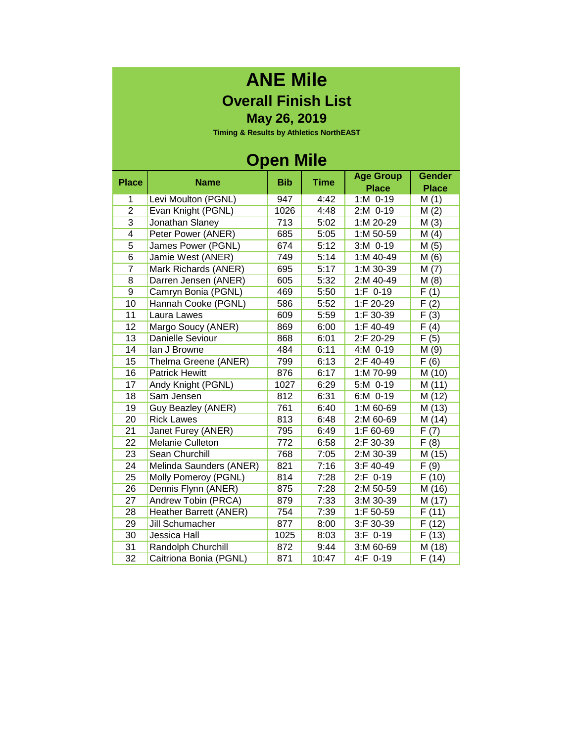## **ANE Mile Overall Finish List**

**May 26, 2019**

**Timing & Results by Athletics NorthEAST**

#### **Open Mile**

| <b>Place</b>   | <b>Name</b>             | <b>Bib</b> | <b>Time</b> | <b>Age Group</b> | <b>Gender</b>     |
|----------------|-------------------------|------------|-------------|------------------|-------------------|
|                |                         |            |             | <b>Place</b>     | <b>Place</b>      |
| 1              | Levi Moulton (PGNL)     | 947        | 4:42        | 1:M 0-19         | M(1)              |
| $\overline{c}$ | Evan Knight (PGNL)      | 1026       | 4:48        | 2:M 0-19         | M(2)              |
| 3              | Jonathan Slaney         | 713        | 5:02        | 1:M 20-29        | M(3)              |
| 4              | Peter Power (ANER)      | 685        | 5:05        | 1:M 50-59        | M(4)              |
| $\overline{5}$ | James Power (PGNL)      | 674        | 5:12        | 3:M 0-19         | M(5)              |
| $\overline{6}$ | Jamie West (ANER)       | 749        | 5:14        | 1:M 40-49        | M(6)              |
| $\overline{7}$ | Mark Richards (ANER)    | 695        | 5:17        | 1:M 30-39        | M(7)              |
| 8              | Darren Jensen (ANER)    | 605        | 5:32        | 2:M 40-49        | M(8)              |
| 9              | Camryn Bonia (PGNL)     | 469        | 5:50        | 1:F 0-19         | F(1)              |
| 10             | Hannah Cooke (PGNL)     | 586        | 5:52        | 1:F 20-29        | $\overline{F}(2)$ |
| 11             | Laura Lawes             | 609        | 5:59        | 1:F 30-39        | $\overline{F}(3)$ |
| 12             | Margo Soucy (ANER)      | 869        | 6:00        | 1:F 40-49        | F(4)              |
| 13             | Danielle Seviour        | 868        | 6:01        | 2:F 20-29        | F(5)              |
| 14             | lan J Browne            | 484        | 6:11        | 4:M 0-19         | M(9)              |
| 15             | Thelma Greene (ANER)    | 799        | 6:13        | 2:F 40-49        | F(6)              |
| 16             | <b>Patrick Hewitt</b>   | 876        | 6:17        | 1:M 70-99        | M (10)            |
| 17             | Andy Knight (PGNL)      | 1027       | 6:29        | 5:M 0-19         | M(11)             |
| 18             | Sam Jensen              | 812        | 6:31        | 6:M 0-19         | M (12)            |
| 19             | Guy Beazley (ANER)      | 761        | 6:40        | 1:M 60-69        | M (13)            |
| 20             | <b>Rick Lawes</b>       | 813        | 6:48        | 2:M 60-69        | M (14)            |
| 21             | Janet Furey (ANER)      | 795        | 6:49        | 1:F 60-69        | F(7)              |
| 22             | Melanie Culleton        | 772        | 6:58        | 2:F 30-39        | F(8)              |
| 23             | Sean Churchill          | 768        | 7:05        | 2:M 30-39        | M (15)            |
| 24             | Melinda Saunders (ANER) | 821        | 7:16        | 3:F 40-49        | F(9)              |
| 25             | Molly Pomeroy (PGNL)    | 814        | 7:28        | $2: F 0-19$      | F(10)             |
| 26             | Dennis Flynn (ANER)     | 875        | 7:28        | 2:M 50-59        | M (16)            |
| 27             | Andrew Tobin (PRCA)     | 879        | 7:33        | 3:M 30-39        | M (17)            |
| 28             | Heather Barrett (ANER)  | 754        | 7:39        | 1:F 50-59        | F(11)             |
| 29             | Jill Schumacher         | 877        | 8:00        | 3:F 30-39        | F(12)             |
| 30             | Jessica Hall            | 1025       | 8:03        | $3:F$ 0-19       | F(13)             |
| 31             | Randolph Churchill      | 872        | 9:44        | 3:M 60-69        | M (18)            |
| 32             | Caitriona Bonia (PGNL)  | 871        | 10:47       | 4:F 0-19         | F(14)             |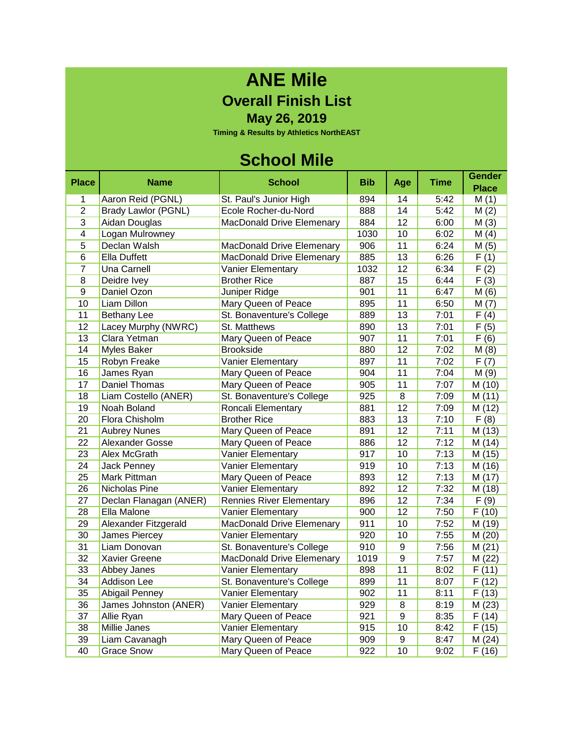## **ANE Mile Overall Finish List**

**May 26, 2019**

**Timing & Results by Athletics NorthEAST**

### **School Mile**

| <b>Place</b>    | Name                       | <b>School</b>                    | <b>Bib</b> | Age             | <b>Time</b> | <b>Gender</b><br><b>Place</b> |
|-----------------|----------------------------|----------------------------------|------------|-----------------|-------------|-------------------------------|
| 1               | Aaron Reid (PGNL)          | St. Paul's Junior High           | 894        | 14              | 5:42        | M(1)                          |
| $\overline{2}$  | <b>Brady Lawlor (PGNL)</b> | Ecole Rocher-du-Nord             | 888        | 14              | 5:42        | M(2)                          |
| 3               | Aidan Douglas              | MacDonald Drive Elemenary        | 884        | 12              | 6:00        | M(3)                          |
| $\overline{4}$  | Logan Mulrowney            |                                  | 1030       | 10              | 6:02        | M(4)                          |
| 5               | Declan Walsh               | <b>MacDonald Drive Elemenary</b> | 906        | 11              | 6:24        | M(5)                          |
| $6\overline{}$  | <b>Ella Duffett</b>        | <b>MacDonald Drive Elemenary</b> | 885        | 13              | 6:26        | F(1)                          |
| 7               | Una Carnell                | Vanier Elementary                | 1032       | 12              | 6:34        | F(2)                          |
| $\overline{8}$  | Deidre Ivey                | <b>Brother Rice</b>              | 887        | 15              | 6:44        | F(3)                          |
| $\overline{9}$  | Daniel Ozon                | Juniper Ridge                    | 901        | 11              | 6:47        | M(6)                          |
| 10              | <b>Liam Dillon</b>         | <b>Mary Queen of Peace</b>       | 895        | 11              | 6:50        | $\overline{M}(7)$             |
| 11              | <b>Bethany Lee</b>         | St. Bonaventure's College        | 889        | 13              | 7:01        | $\overline{F(4)}$             |
| 12              | Lacey Murphy (NWRC)        | St. Matthews                     | 890        | 13              | 7:01        | $\overline{F(5)}$             |
| 13              | Clara Yetman               | Mary Queen of Peace              | 907        | 11              | 7:01        | F(6)                          |
| 14              | Myles Baker                | <b>Brookside</b>                 | 880        | 12              | 7:02        | M(8)                          |
| 15              | Robyn Freake               | Vanier Elementary                | 897        | 11              | 7:02        | F(7)                          |
| 16              | James Ryan                 | Mary Queen of Peace              | 904        | 11              | 7:04        | M(9)                          |
| 17              | Daniel Thomas              | Mary Queen of Peace              | 905        | 11              | 7:07        | M (10)                        |
| 18              | Liam Costello (ANER)       | St. Bonaventure's College        | 925        | $\overline{8}$  | 7:09        | M(11)                         |
| 19              | Noah Boland                | Roncali Elementary               | 881        | 12              | 7:09        | M (12)                        |
| 20              | Flora Chisholm             | <b>Brother Rice</b>              | 883        | 13              | 7:10        | F(8)                          |
| 21              | <b>Aubrey Nunes</b>        | Mary Queen of Peace              | 891        | 12              | 7:11        | M (13)                        |
| $\overline{22}$ | <b>Alexander Gosse</b>     | Mary Queen of Peace              | 886        | $\overline{12}$ | 7:12        | M (14)                        |
| 23              | Alex McGrath               | Vanier Elementary                | 917        | 10              | 7:13        | M (15)                        |
| 24              | Jack Penney                | Vanier Elementary                | 919        | 10              | 7:13        | M (16)                        |
| 25              | Mark Pittman               | Mary Queen of Peace              | 893        | 12              | 7:13        | M (17)                        |
| 26              | Nicholas Pine              | Vanier Elementary                | 892        | 12              | 7:32        | M (18)                        |
| 27              | Declan Flanagan (ANER)     | <b>Rennies River Elementary</b>  | 896        | 12              | 7:34        | F(9)                          |
| 28              | Ella Malone                | Vanier Elementary                | 900        | 12              | 7:50        | F(10)                         |
| 29              | Alexander Fitzgerald       | <b>MacDonald Drive Elemenary</b> | 911        | 10              | 7:52        | M (19)                        |
| 30              | James Piercey              | Vanier Elementary                | 920        | 10              | 7:55        | M (20)                        |
| 31              | Liam Donovan               | St. Bonaventure's College        | 910        | 9               | 7:56        | M(21)                         |
| 32              | <b>Xavier Greene</b>       | <b>MacDonald Drive Elemenary</b> | 1019       | $\overline{9}$  | 7:57        | M(22)                         |
| 33              | Abbey Janes                | Vanier Elementary                | 898        | 11              | 8:02        | F(11)                         |
| 34              | <b>Addison Lee</b>         | St. Bonaventure's College        | 899        | 11              | 8:07        | F(12)                         |
| 35              | Abigail Penney             | Vanier Elementary                | 902        | 11              | 8:11        | F(13)                         |
| 36              | James Johnston (ANER)      | Vanier Elementary                | 929        | $\overline{8}$  | 8:19        | M (23)                        |
| 37              | <b>Allie Ryan</b>          | Mary Queen of Peace              | 921        | $\overline{9}$  | 8:35        | F(14)                         |
| 38              | <b>Millie Janes</b>        | <b>Vanier Elementary</b>         | 915        | 10              | 8:42        | F(15)                         |
| 39              | Liam Cavanagh              | Mary Queen of Peace              | 909        | $\overline{9}$  | 8:47        | M(24)                         |
| 40              | <b>Grace Snow</b>          | <b>Mary Queen of Peace</b>       | 922        | 10              | 9:02        | F(16)                         |